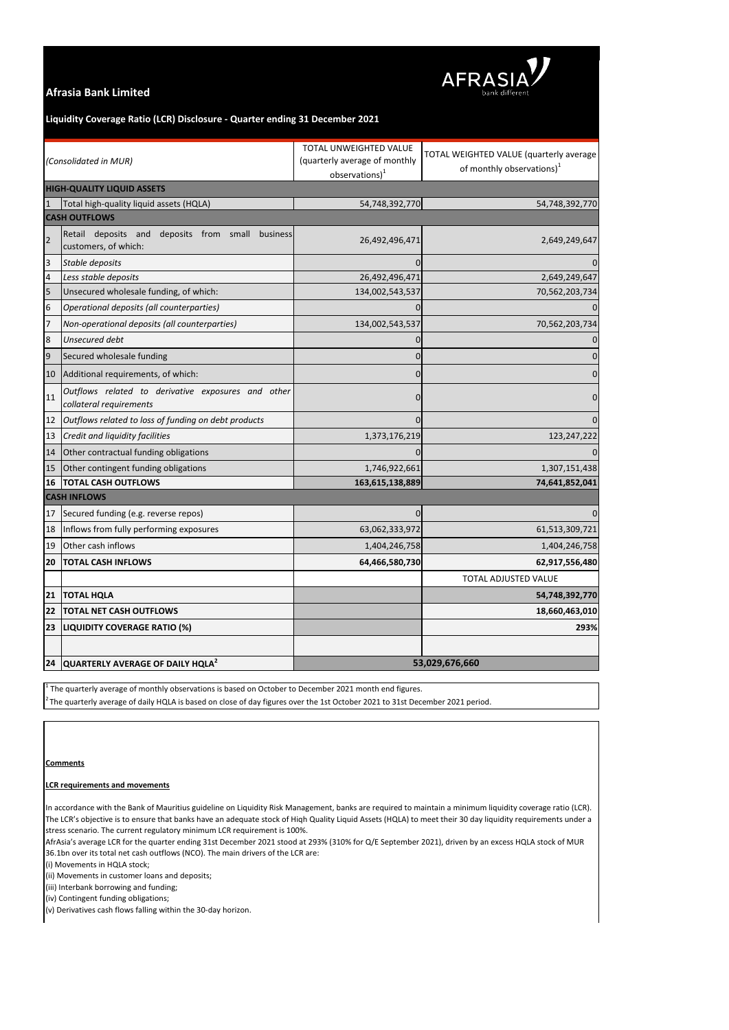

# **Afrasia Bank Limited**

In accordance with the Bank of Mauritius guideline on Liquidity Risk Management, banks are required to maintain a minimum liquidity coverage ratio (LCR). The LCR's objective is to ensure that banks have an adequate stock of Hiqh Quality Liquid Assets (HQLA) to meet their 30 day liquidity requirements under a stress scenario. The current regulatory minimum LCR requirement is 100%.

#### **LCR requirements and movements**

AfrAsia's average LCR for the quarter ending 31st December 2021 stood at 293% (310% for Q/E September 2021), driven by an excess HQLA stock of MUR 36.1bn over its total net cash outflows (NCO). The main drivers of the LCR are:

(i) Movements in HQLA stock;

(ii) Movements in customer loans and deposits;

(iii) Interbank borrowing and funding;

| (Consolidated in MUR)             |                                                                                | TOTAL UNWEIGHTED VALUE<br>(quarterly average of monthly<br>$observations)^{1}$ | TOTAL WEIGHTED VALUE (quarterly average<br>of monthly observations) <sup>1</sup> |
|-----------------------------------|--------------------------------------------------------------------------------|--------------------------------------------------------------------------------|----------------------------------------------------------------------------------|
| <b>HIGH-QUALITY LIQUID ASSETS</b> |                                                                                |                                                                                |                                                                                  |
| $\mathbf{1}$                      | Total high-quality liquid assets (HQLA)                                        | 54,748,392,770                                                                 | 54,748,392,770                                                                   |
| <b>CASH OUTFLOWS</b>              |                                                                                |                                                                                |                                                                                  |
| $\overline{2}$                    | Retail deposits and<br>deposits from small<br>business<br>customers, of which: | 26,492,496,471                                                                 | 2,649,249,647                                                                    |
| $\overline{3}$                    | Stable deposits                                                                |                                                                                |                                                                                  |
| $\overline{a}$                    | Less stable deposits                                                           | 26,492,496,471                                                                 | 2,649,249,647                                                                    |
| 5                                 | Unsecured wholesale funding, of which:                                         | 134,002,543,537                                                                | 70,562,203,734                                                                   |
| $\boldsymbol{6}$                  | Operational deposits (all counterparties)                                      | 0                                                                              |                                                                                  |
| 7                                 | Non-operational deposits (all counterparties)                                  | 134,002,543,537                                                                | 70,562,203,734                                                                   |
| $\bf 8$                           | Unsecured debt                                                                 | O                                                                              |                                                                                  |
| $\boldsymbol{9}$                  | Secured wholesale funding                                                      |                                                                                |                                                                                  |
| 10                                | Additional requirements, of which:                                             | 0                                                                              |                                                                                  |
| 11                                | Outflows related to derivative exposures and other<br>collateral requirements  | 0                                                                              |                                                                                  |
| 12                                | Outflows related to loss of funding on debt products                           |                                                                                |                                                                                  |
| 13                                | Credit and liquidity facilities                                                | 1,373,176,219                                                                  | 123, 247, 222                                                                    |
| 14                                | Other contractual funding obligations                                          | $\mathbf{0}$                                                                   |                                                                                  |
| 15                                | Other contingent funding obligations                                           | 1,746,922,661                                                                  | 1,307,151,438                                                                    |
| 16                                | <b>TOTAL CASH OUTFLOWS</b>                                                     | 163,615,138,889                                                                | 74,641,852,041                                                                   |
| <b>CASH INFLOWS</b>               |                                                                                |                                                                                |                                                                                  |
| 17                                | Secured funding (e.g. reverse repos)                                           |                                                                                |                                                                                  |
|                                   | 18  Inflows from fully performing exposures                                    | 63,062,333,972                                                                 | 61,513,309,721                                                                   |
| 19                                | Other cash inflows                                                             | 1,404,246,758                                                                  | 1,404,246,758                                                                    |
| 20                                | <b>TOTAL CASH INFLOWS</b>                                                      | 64,466,580,730                                                                 | 62,917,556,480                                                                   |
|                                   |                                                                                |                                                                                | TOTAL ADJUSTED VALUE                                                             |
| $21$                              | <b>TOTAL HQLA</b>                                                              |                                                                                | 54,748,392,770                                                                   |
| 22                                | <b>TOTAL NET CASH OUTFLOWS</b>                                                 |                                                                                | 18,660,463,010                                                                   |
| 23                                | <b>LIQUIDITY COVERAGE RATIO (%)</b>                                            |                                                                                | 293%                                                                             |
|                                   |                                                                                |                                                                                |                                                                                  |
| 24                                | QUARTERLY AVERAGE OF DAILY HQLA <sup>2</sup>                                   | 53,029,676,660                                                                 |                                                                                  |

 $^1$  The quarterly average of monthly observations is based on October to December 2021 month end figures.

 $^2$ The quarterly average of daily HQLA is based on close of day figures over the 1st October 2021 to 31st December 2021 period.

(iv) Contingent funding obligations;

(v) Derivatives cash flows falling within the 30-day horizon.

## **Liquidity Coverage Ratio (LCR) Disclosure - Quarter ending 31 December 2021**